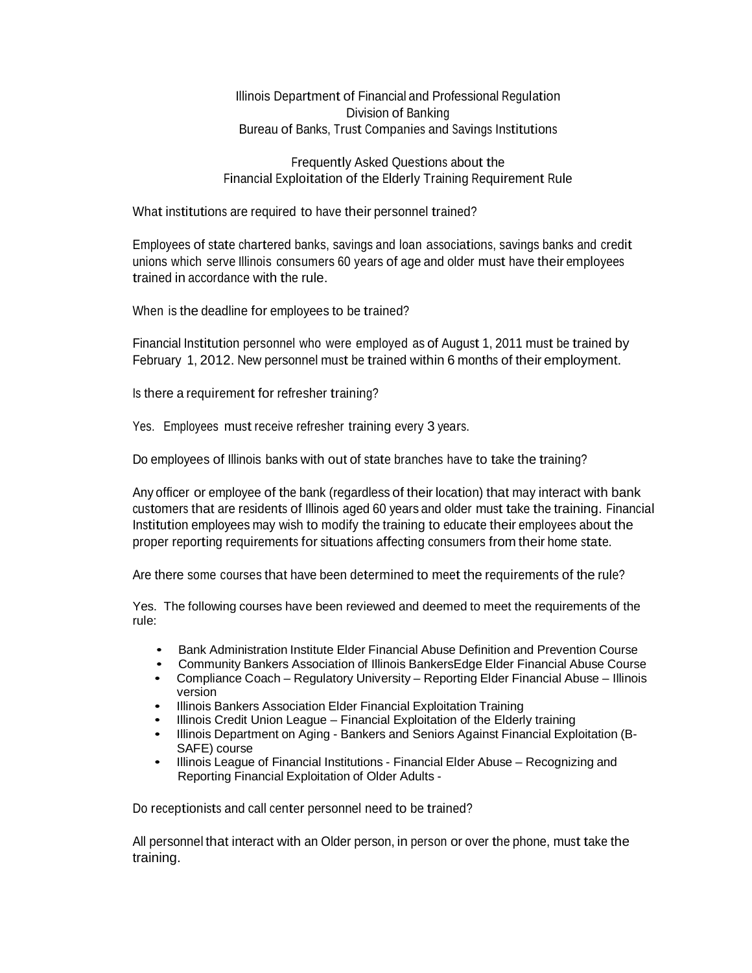Illinois Department of Financial and Professional Regulation Division of Banking Bureau of Banks, Trust Companies and Savings Institutions

Frequently Asked Questions about the Financial Exploitation of the Elderly Training Requirement Rule

What institutions are required to have their personnel trained?

Employees of state chartered banks, savings and loan associations, savings banks and credit unions which serve Illinois consumers 60 years of age and older must have their employees trained in accordance with the rule.

When is the deadline for employees to be trained?

Financial Institution personnel who were employed as of August 1, 2011 must be trained by February 1, 2012. New personnel must be trained within 6 months of their employment.

Is there a requirement for refresher training?

Yes. Employees must receive refresher training every 3 years.

Do employees of Illinois banks with out of state branches have to take the training?

Any officer or employee of the bank (regardless of their location) that may interact with bank customers that are residents of Illinois aged 60 years and older must take the training. Financial Institution employees may wish to modify the training to educate their employees about the proper reporting requirements for situations affecting consumers from their home state.

Are there some courses that have been determined to meet the requirements of the rule?

Yes. The following courses have been reviewed and deemed to meet the requirements of the rule:

- Bank Administration Institute Elder Financial Abuse Definition and Prevention Course
- Community Bankers Association of Illinois BankersEdge Elder Financial Abuse Course
- Compliance Coach Regulatory University Reporting Elder Financial Abuse Illinois version
- Illinois Bankers Association Elder Financial Exploitation Training<br>• Illinois Credit Union League Financial Exploitation of the Elderl
- Illinois Credit Union League Financial Exploitation of the Elderly training<br>• Illinois Department on Aging Bankers and Seniors Against Financial Expl
- Illinois Department on Aging Bankers and Seniors Against Financial Exploitation (B-SAFE) course
- Illinois League of Financial Institutions Financial Elder Abuse Recognizing and Reporting Financial Exploitation of Older Adults -

Do receptionists and call center personnel need to be trained?

All personnel that interact with an Older person, in person or over the phone, must take the training.